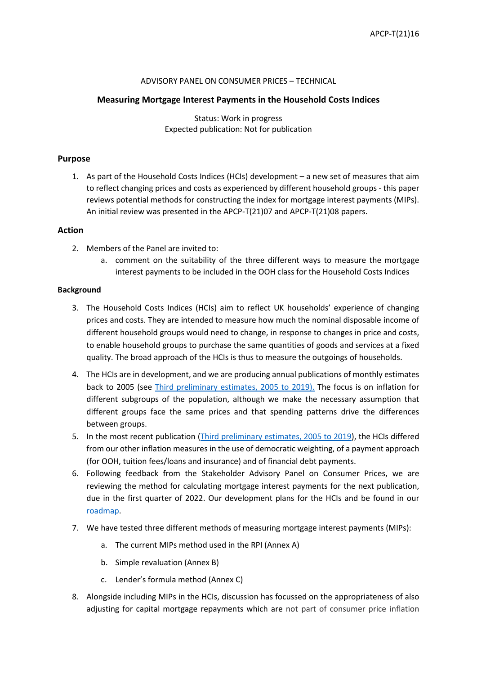### ADVISORY PANEL ON CONSUMER PRICES – TECHNICAL

### **Measuring Mortgage Interest Payments in the Household Costs Indices**

Status: Work in progress Expected publication: Not for publication

### **Purpose**

1. As part of the Household Costs Indices (HCIs) development – a new set of measures that aim to reflect changing prices and costs as experienced by different household groups - this paper reviews potential methods for constructing the index for mortgage interest payments (MIPs). An initial review was presented in the APCP-T(21)07 and APCP-T(21)08 papers.

### **Action**

- 2. Members of the Panel are invited to:
	- a. comment on the suitability of the three different ways to measure the mortgage interest payments to be included in the OOH class for the Household Costs Indices

#### **Background**

- 3. The Household Costs Indices (HCIs) aim to reflect UK households' experience of changing prices and costs. They are intended to measure how much the nominal disposable income of different household groups would need to change, in response to changes in price and costs, to enable household groups to purchase the same quantities of goods and services at a fixed quality. The broad approach of the HCIs is thus to measure the outgoings of households.
- 4. The HCIs are in development, and we are producing annual publications of monthly estimates back to 2005 (see [Third preliminary estimates, 2005 to 2019\).](https://www.ons.gov.uk/economy/inflationandpriceindices/bulletins/householdcostsindices/thirdpreliminaryestimates2005to2019) The focus is on inflation for different subgroups of the population, although we make the necessary assumption that different groups face the same prices and that spending patterns drive the differences between groups.
- 5. In the most recent publication [\(Third preliminary estimates, 2005 to 2019\)](https://www.ons.gov.uk/economy/inflationandpriceindices/bulletins/householdcostsindices/thirdpreliminaryestimates2005to2019), the HCIs differed from our other inflation measures in the use of democratic weighting, of a payment approach (for OOH, tuition fees/loans and insurance) and of financial debt payments.
- 6. Following feedback from the Stakeholder Advisory Panel on Consumer Prices, we are reviewing the method for calculating mortgage interest payments for the next publication, due in the first quarter of 2022. Our development plans for the HCIs and be found in our [roadmap.](https://uksa.statisticsauthority.gov.uk/wp-content/uploads/2020/12/Household_Cost_Indices_NS_Roadmap.pdf)
- 7. We have tested three different methods of measuring mortgage interest payments (MIPs):
	- a. The current MIPs method used in the RPI (Annex A)
	- b. Simple revaluation (Annex B)
	- c. Lender's formula method (Annex C)
- 8. Alongside including MIPs in the HCIs, discussion has focussed on the appropriateness of also adjusting for capital mortgage repayments which are not part of consumer price inflation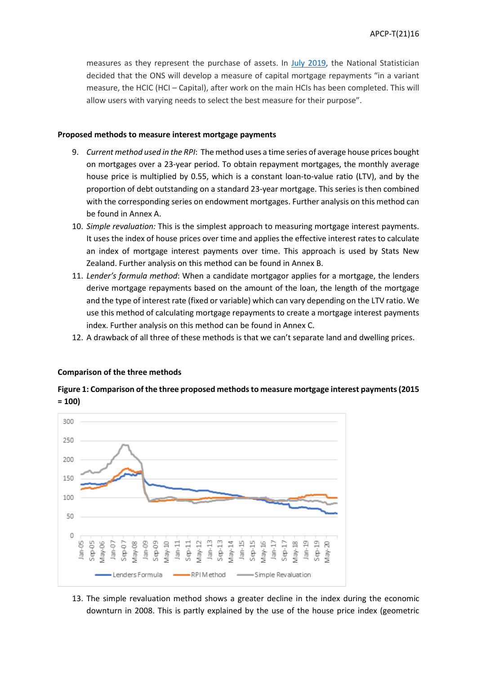measures as they represent the purchase of assets. In July [2019,](https://www.ons.gov.uk/news/statementsandletters/nationalstatisticiansstatementonthefutureofthehouseholdcostsindices) the National Statistician decided that the ONS will develop a measure of capital mortgage repayments "in a variant measure, the HCIC (HCI – Capital), after work on the main HCIs has been completed. This will allow users with varying needs to select the best measure for their purpose".

#### **Proposed methods to measure interest mortgage payments**

- 9. *Current method used in the RPI*: The method uses a time series of average house prices bought on mortgages over a 23-year period. To obtain repayment mortgages, the monthly average house price is multiplied by 0.55, which is a constant loan-to-value ratio (LTV), and by the proportion of debt outstanding on a standard 23-year mortgage. This series is then combined with the corresponding series on endowment mortgages. Further analysis on this method can be found in Annex A.
- 10. *Simple revaluation:* This is the simplest approach to measuring mortgage interest payments. It uses the index of house prices over time and applies the effective interest rates to calculate an index of mortgage interest payments over time. This approach is used by Stats New Zealand. Further analysis on this method can be found in Annex B.
- 11. *Lender's formula method*: When a candidate mortgagor applies for a mortgage, the lenders derive mortgage repayments based on the amount of the loan, the length of the mortgage and the type of interest rate (fixed or variable) which can vary depending on the LTV ratio. We use this method of calculating mortgage repayments to create a mortgage interest payments index. Further analysis on this method can be found in Annex C.
- 12. A drawback of all three of these methods is that we can't separate land and dwelling prices.

### **Comparison of the three methods**

# **Figure 1: Comparison of the three proposed methods to measure mortgage interest payments (2015 = 100)**



13. The simple revaluation method shows a greater decline in the index during the economic downturn in 2008. This is partly explained by the use of the house price index (geometric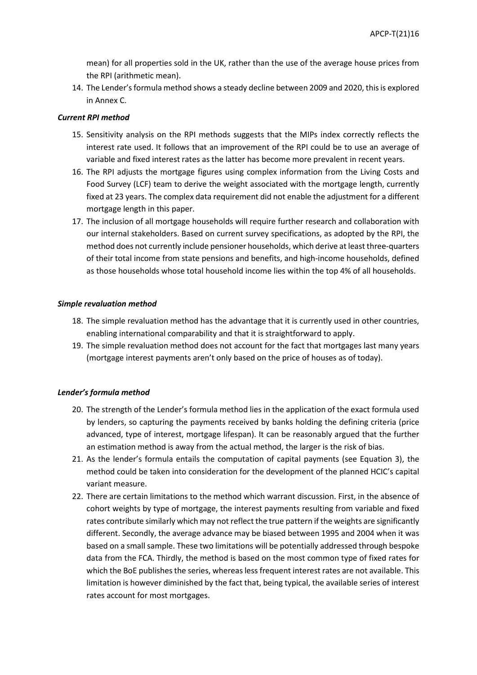mean) for all properties sold in the UK, rather than the use of the average house prices from the RPI (arithmetic mean).

14. The Lender's formula method shows a steady decline between 2009 and 2020, this is explored in Annex C.

### *Current RPI method*

- 15. Sensitivity analysis on the RPI methods suggests that the MIPs index correctly reflects the interest rate used. It follows that an improvement of the RPI could be to use an average of variable and fixed interest rates as the latter has become more prevalent in recent years.
- 16. The RPI adjusts the mortgage figures using complex information from the Living Costs and Food Survey (LCF) team to derive the weight associated with the mortgage length, currently fixed at 23 years. The complex data requirement did not enable the adjustment for a different mortgage length in this paper.
- 17. The inclusion of all mortgage households will require further research and collaboration with our internal stakeholders. Based on current survey specifications, as adopted by the RPI, the method does not currently include pensioner households, which derive at least three-quarters of their total income from state pensions and benefits, and high-income households, defined as those households whose total household income lies within the top 4% of all households.

### *Simple revaluation method*

- 18. The simple revaluation method has the advantage that it is currently used in other countries, enabling international comparability and that it is straightforward to apply.
- 19. The simple revaluation method does not account for the fact that mortgages last many years (mortgage interest payments aren't only based on the price of houses as of today).

#### *Lender's formula method*

- 20. The strength of the Lender's formula method lies in the application of the exact formula used by lenders, so capturing the payments received by banks holding the defining criteria (price advanced, type of interest, mortgage lifespan). It can be reasonably argued that the further an estimation method is away from the actual method, the larger is the risk of bias.
- 21. As the lender's formula entails the computation of capital payments (see Equation 3), the method could be taken into consideration for the development of the planned HCIC's capital variant measure.
- 22. There are certain limitations to the method which warrant discussion. First, in the absence of cohort weights by type of mortgage, the interest payments resulting from variable and fixed rates contribute similarly which may not reflect the true pattern if the weights are significantly different. Secondly, the average advance may be biased between 1995 and 2004 when it was based on a small sample. These two limitations will be potentially addressed through bespoke data from the FCA. Thirdly, the method is based on the most common type of fixed rates for which the BoE publishes the series, whereas less frequent interest rates are not available. This limitation is however diminished by the fact that, being typical, the available series of interest rates account for most mortgages.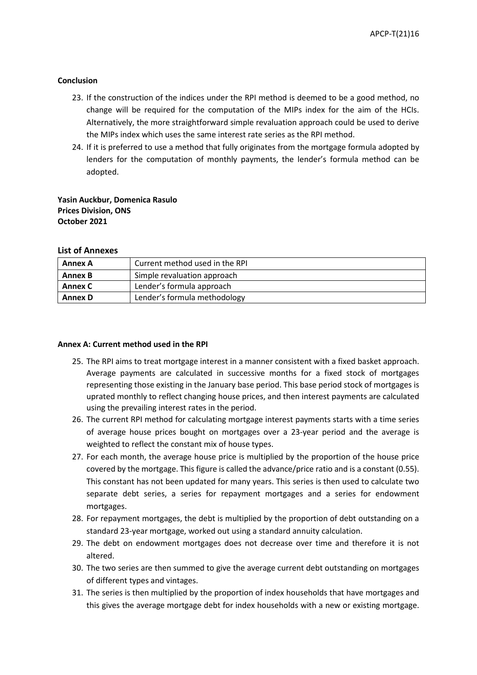#### **Conclusion**

- 23. If the construction of the indices under the RPI method is deemed to be a good method, no change will be required for the computation of the MIPs index for the aim of the HCIs. Alternatively, the more straightforward simple revaluation approach could be used to derive the MIPs index which uses the same interest rate series as the RPI method.
- 24. If it is preferred to use a method that fully originates from the mortgage formula adopted by lenders for the computation of monthly payments, the lender's formula method can be adopted.

**Yasin Auckbur, Domenica Rasulo Prices Division, ONS October 2021**

#### **List of Annexes**

| <b>Annex A</b> | Current method used in the RPI |
|----------------|--------------------------------|
| <b>Annex B</b> | Simple revaluation approach    |
| Annex C        | Lender's formula approach      |
| <b>Annex D</b> | Lender's formula methodology   |

#### **Annex A: Current method used in the RPI**

- 25. The RPI aims to treat mortgage interest in a manner consistent with a fixed basket approach. Average payments are calculated in successive months for a fixed stock of mortgages representing those existing in the January base period. This base period stock of mortgages is uprated monthly to reflect changing house prices, and then interest payments are calculated using the prevailing interest rates in the period.
- 26. The current RPI method for calculating mortgage interest payments starts with a time series of average house prices bought on mortgages over a 23-year period and the average is weighted to reflect the constant mix of house types.
- 27. For each month, the average house price is multiplied by the proportion of the house price covered by the mortgage. This figure is called the advance/price ratio and is a constant (0.55). This constant has not been updated for many years. This series is then used to calculate two separate debt series, a series for repayment mortgages and a series for endowment mortgages.
- 28. For repayment mortgages, the debt is multiplied by the proportion of debt outstanding on a standard 23-year mortgage, worked out using a standard annuity calculation.
- 29. The debt on endowment mortgages does not decrease over time and therefore it is not altered.
- 30. The two series are then summed to give the average current debt outstanding on mortgages of different types and vintages.
- 31. The series is then multiplied by the proportion of index households that have mortgages and this gives the average mortgage debt for index households with a new or existing mortgage.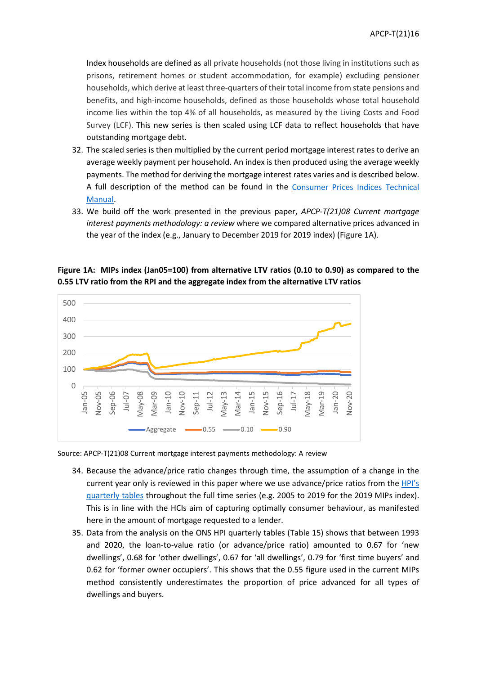Index households are defined as all private households (not those living in institutions such as prisons, retirement homes or student accommodation, for example) excluding pensioner households, which derive at least three-quarters of their total income from state pensions and benefits, and high-income households, defined as those households whose total household income lies within the top 4% of all households, as measured by the Living Costs and Food Survey (LCF). This new series is then scaled using LCF data to reflect households that have outstanding mortgage debt.

- 32. The scaled series is then multiplied by the current period mortgage interest rates to derive an average weekly payment per household. An index is then produced using the average weekly payments. The method for deriving the mortgage interest rates varies and is described below. A full description of the method can be found in the [Consumer Prices Indices Technical](https://www.ons.gov.uk/economy/inflationandpriceindices/methodologies/consumerpricesindicestechnicalmanual2019#retail-prices-index)  [Manual.](https://www.ons.gov.uk/economy/inflationandpriceindices/methodologies/consumerpricesindicestechnicalmanual2019#retail-prices-index)
- 33. We build off the work presented in the previous paper, *APCP-T(21)08 Current mortgage interest payments methodology: a review* where we compared alternative prices advanced in the year of the index (e.g., January to December 2019 for 2019 index) (Figure 1A).



**Figure 1A: MIPs index (Jan05=100) from alternative LTV ratios (0.10 to 0.90) as compared to the 0.55 LTV ratio from the RPI and the aggregate index from the alternative LTV ratios**

Source: APCP-T(21)08 Current mortgage interest payments methodology: A review

- 34. Because the advance/price ratio changes through time, the assumption of a change in the current year only is reviewed in this paper where we use advance/price ratios from the [HPI's](https://www.ons.gov.uk/economy/inflationandpriceindices/datasets/housepriceindexmonthlyquarterlytables1to19) [quarterly](https://www.ons.gov.uk/economy/inflationandpriceindices/datasets/housepriceindexmonthlyquarterlytables1to19) tables throughout the full time series (e.g. 2005 to 2019 for the 2019 MIPs index). This is in line with the HCIs aim of capturing optimally consumer behaviour, as manifested here in the amount of mortgage requested to a lender.
- 35. Data from the analysis on the [ONS HPI quarterly tables \(Table 15\)](https://www.ons.gov.uk/file?uri=/economy/inflationandpriceindices/datasets/housepriceindexmonthlyquarterlytables1to19/current/hpimonthlyandqtlytables1to19.xls) shows that between 1993 and 2020, the loan-to-value ratio (or advance/price ratio) amounted to 0.67 for 'new dwellings', 0.68 for 'other dwellings', 0.67 for 'all dwellings', 0.79 for 'first time buyers' and 0.62 for 'former owner occupiers'. This shows that the 0.55 figure used in the current MIPs method consistently underestimates the proportion of price advanced for all types of dwellings and buyers.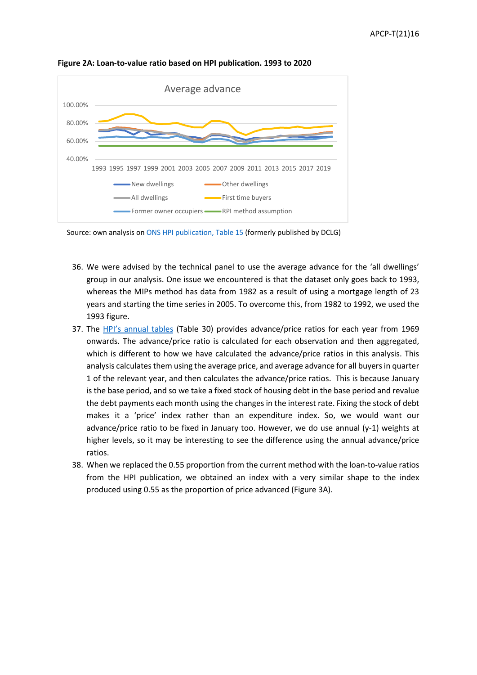

**Figure 2A: Loan-to-value ratio based on HPI publication. 1993 to 2020**

Source: own analysis on [ONS HPI publication, Table 15](https://www.ons.gov.uk/file?uri=/economy/inflationandpriceindices/datasets/housepriceindexmonthlyquarterlytables1to19/current/hpimonthlyandqtlytables1to19.xls) (formerly published by DCLG)

- 36. We were advised by the technical panel to use the average advance for the 'all dwellings' group in our analysis. One issue we encountered is that the dataset only goes back to 1993, whereas the MIPs method has data from 1982 as a result of using a mortgage length of 23 years and starting the time series in 2005. To overcome this, from 1982 to 1992, we used the 1993 figure.
- 37. The [HPI's annual tables](https://www.ons.gov.uk/economy/inflationandpriceindices/datasets/housepriceindexannualtables2039) (Table 30) provides advance/price ratios for each year from 1969 onwards. The advance/price ratio is calculated for each observation and then aggregated, which is different to how we have calculated the advance/price ratios in this analysis. This analysis calculates them using the average price, and average advance for all buyers in quarter 1 of the relevant year, and then calculates the advance/price ratios. This is because January is the base period, and so we take a fixed stock of housing debt in the base period and revalue the debt payments each month using the changes in the interest rate. Fixing the stock of debt makes it a 'price' index rather than an expenditure index. So, we would want our advance/price ratio to be fixed in January too. However, we do use annual (y-1) weights at higher levels, so it may be interesting to see the difference using the annual advance/price ratios.
- 38. When we replaced the 0.55 proportion from the current method with the loan-to-value ratios from the HPI publication, we obtained an index with a very similar shape to the index produced using 0.55 as the proportion of price advanced (Figure 3A).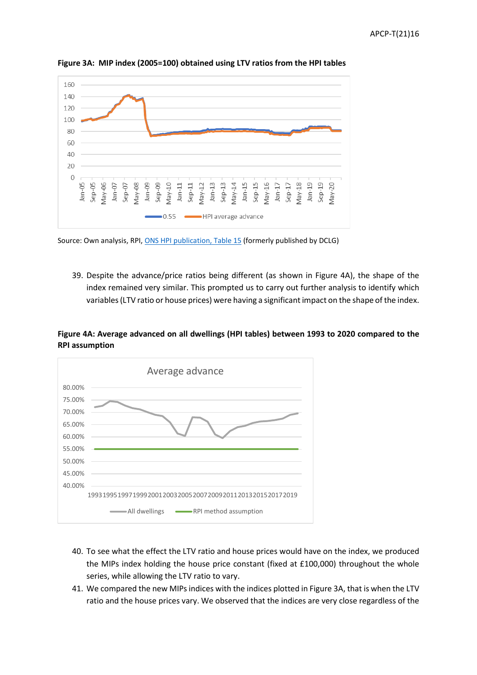

**Figure 3A: MIP index (2005=100) obtained using LTV ratios from the HPI tables**

Source: Own analysis, RPI[, ONS HPI publication, Table 15](https://www.ons.gov.uk/file?uri=/economy/inflationandpriceindices/datasets/housepriceindexmonthlyquarterlytables1to19/current/hpimonthlyandqtlytables1to19.xls) (formerly published by DCLG)

39. Despite the advance/price ratios being different (as shown in Figure 4A), the shape of the index remained very similar. This prompted us to carry out further analysis to identify which variables(LTV ratio or house prices) were having a significant impact on the shape of the index.

# **Figure 4A: Average advanced on all dwellings (HPI tables) between 1993 to 2020 compared to the RPI assumption**



- 40. To see what the effect the LTV ratio and house prices would have on the index, we produced the MIPs index holding the house price constant (fixed at £100,000) throughout the whole series, while allowing the LTV ratio to vary.
- 41. We compared the new MIPs indices with the indices plotted in Figure 3A, that is when the LTV ratio and the house prices vary. We observed that the indices are very close regardless of the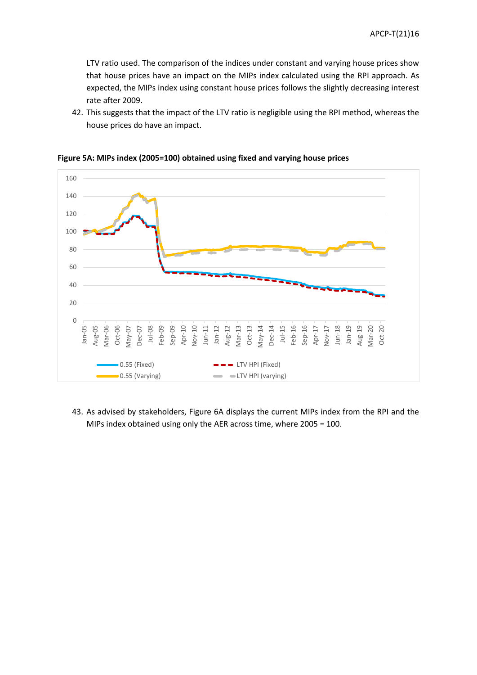LTV ratio used. The comparison of the indices under constant and varying house prices show that house prices have an impact on the MIPs index calculated using the RPI approach. As expected, the MIPs index using constant house prices follows the slightly decreasing interest rate after 2009.

42. This suggests that the impact of the LTV ratio is negligible using the RPI method, whereas the house prices do have an impact.



**Figure 5A: MIPs index (2005=100) obtained using fixed and varying house prices**

43. As advised by stakeholders, Figure 6A displays the current MIPs index from the RPI and the MIPs index obtained using only the AER across time, where 2005 = 100.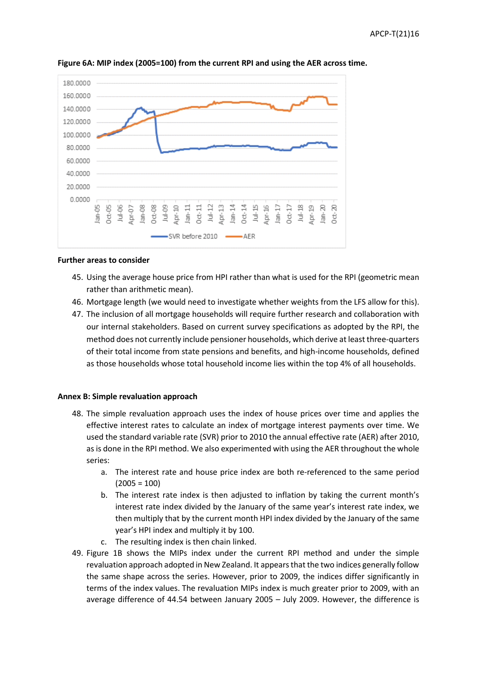

**Figure 6A: MIP index (2005=100) from the current RPI and using the AER across time.** 

### **Further areas to consider**

- 45. Using the average house price from HPI rather than what is used for the RPI (geometric mean rather than arithmetic mean).
- 46. Mortgage length (we would need to investigate whether weights from the LFS allow for this).
- 47. The inclusion of all mortgage households will require further research and collaboration with our internal stakeholders. Based on current survey specifications as adopted by the RPI, the method does not currently include pensioner households, which derive at least three-quarters of their total income from state pensions and benefits, and high-income households, defined as those households whose total household income lies within the top 4% of all households.

### **Annex B: Simple revaluation approach**

- 48. The simple revaluation approach uses the index of house prices over time and applies the effective interest rates to calculate an index of mortgage interest payments over time. We used the standard variable rate (SVR) prior to 2010 the annual effective rate (AER) after 2010, as is done in the RPI method. We also experimented with using the AER throughout the whole series:
	- a. The interest rate and house price index are both re-referenced to the same period  $(2005 = 100)$
	- b. The interest rate index is then adjusted to inflation by taking the current month's interest rate index divided by the January of the same year's interest rate index, we then multiply that by the current month HPI index divided by the January of the same year's HPI index and multiply it by 100.
	- c. The resulting index is then chain linked.
- 49. Figure 1B shows the MIPs index under the current RPI method and under the simple revaluation approach adopted in New Zealand. It appears that the two indices generally follow the same shape across the series. However, prior to 2009, the indices differ significantly in terms of the index values. The revaluation MIPs index is much greater prior to 2009, with an average difference of 44.54 between January 2005 – July 2009. However, the difference is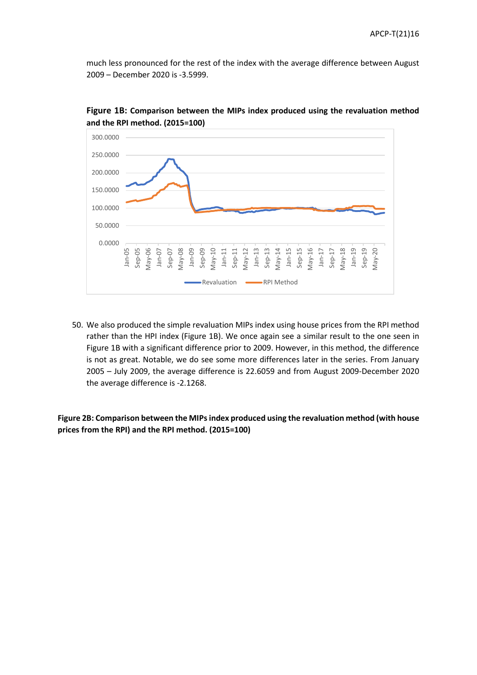much less pronounced for the rest of the index with the average difference between August 2009 – December 2020 is -3.5999.



**Figure 1B: Comparison between the MIPs index produced using the revaluation method and the RPI method. (2015=100)**

50. We also produced the simple revaluation MIPs index using house prices from the RPI method rather than the HPI index (Figure 1B). We once again see a similar result to the one seen in Figure 1B with a significant difference prior to 2009. However, in this method, the difference is not as great. Notable, we do see some more differences later in the series. From January 2005 – July 2009, the average difference is 22.6059 and from August 2009-December 2020 the average difference is -2.1268.

**Figure 2B: Comparison between the MIPs index produced using the revaluation method (with house prices from the RPI) and the RPI method. (2015=100)**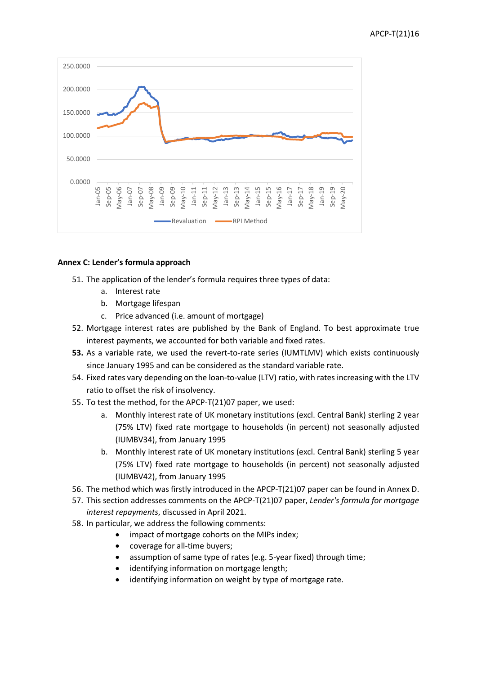

# **Annex C: Lender's formula approach**

- 51. The application of the lender's formula requires three types of data:
	- a. Interest rate
	- b. Mortgage lifespan
	- c. Price advanced (i.e. amount of mortgage)
- 52. Mortgage interest rates are published by the Bank of England. To best approximate true interest payments, we accounted for both variable and fixed rates.
- **53.** As a variable rate, we used the revert-to-rate series (IUMTLMV) which exists continuously since January 1995 and can be considered as the standard variable rate.
- 54. Fixed rates vary depending on the loan-to-value (LTV) ratio, with rates increasing with the LTV ratio to offset the risk of insolvency.
- 55. To test the method, for the APCP-T(21)07 paper, we used:
	- a. Monthly interest rate of UK monetary institutions (excl. Central Bank) sterling 2 year (75% LTV) fixed rate mortgage to households (in percent) not seasonally adjusted (IUMBV34), from January 1995
	- b. Monthly interest rate of UK monetary institutions (excl. Central Bank) sterling 5 year (75% LTV) fixed rate mortgage to households (in percent) not seasonally adjusted (IUMBV42), from January 1995
- 56. The method which was firstly introduced in the APCP-T(21)07 paper can be found in Annex D.
- 57. This section addresses comments on the APCP-T(21)07 paper, *Lender's formula for mortgage interest repayments*, discussed in April 2021.
- 58. In particular, we address the following comments:
	- impact of mortgage cohorts on the MIPs index;
	- coverage for all-time buyers;
	- assumption of same type of rates (e.g. 5-year fixed) through time;
	- identifying information on mortgage length;
	- identifying information on weight by type of mortgage rate.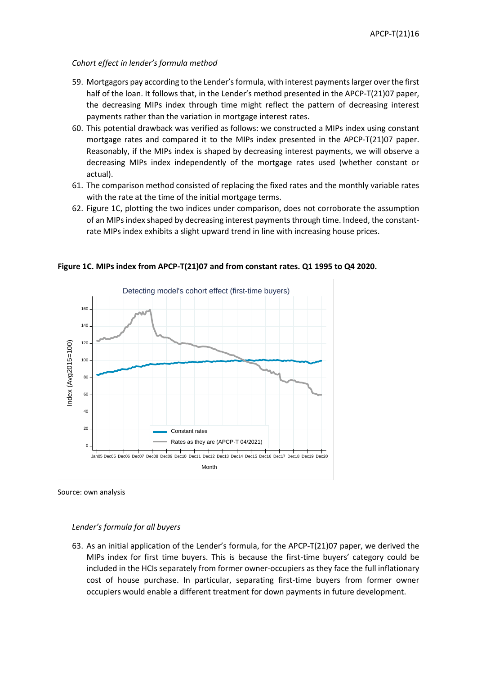### *Cohort effect in lender's formula method*

- 59. Mortgagors pay according to the Lender's formula, with interest payments larger over the first half of the loan. It follows that, in the Lender's method presented in the APCP-T(21)07 paper, the decreasing MIPs index through time might reflect the pattern of decreasing interest payments rather than the variation in mortgage interest rates.
- 60. This potential drawback was verified as follows: we constructed a MIPs index using constant mortgage rates and compared it to the MIPs index presented in the APCP-T(21)07 paper. Reasonably, if the MIPs index is shaped by decreasing interest payments, we will observe a decreasing MIPs index independently of the mortgage rates used (whether constant or actual).
- 61. The comparison method consisted of replacing the fixed rates and the monthly variable rates with the rate at the time of the initial mortgage terms.
- 62. Figure 1C, plotting the two indices under comparison, does not corroborate the assumption of an MIPs index shaped by decreasing interest payments through time. Indeed, the constantrate MIPs index exhibits a slight upward trend in line with increasing house prices.



**Figure 1C. MIPs index from APCP-T(21)07 and from constant rates. Q1 1995 to Q4 2020.**

Source: own analysis

### *Lender's formula for all buyers*

63. As an initial application of the Lender's formula, for the APCP-T(21)07 paper, we derived the MIPs index for first time buyers. This is because the first-time buyers' category could be included in the HCIs separately from former owner-occupiers as they face the full inflationary cost of house purchase. In particular, separating first-time buyers from former owner occupiers would enable a different treatment for down payments in future development.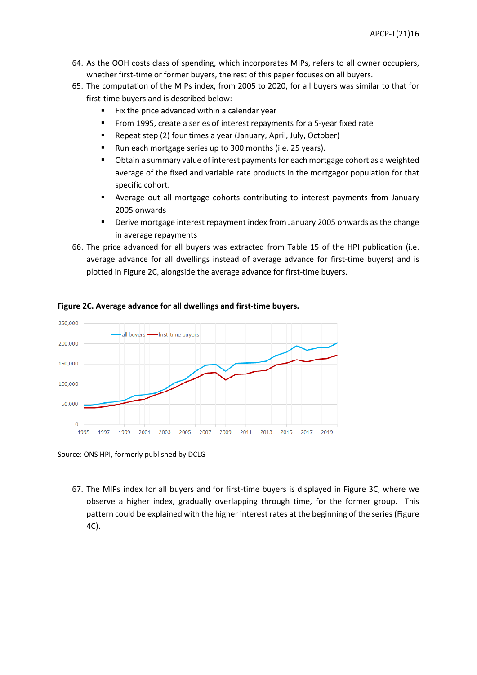- 64. As the OOH costs class of spending, which incorporates MIPs, refers to all owner occupiers, whether first-time or former buyers, the rest of this paper focuses on all buyers.
- 65. The computation of the MIPs index, from 2005 to 2020, for all buyers was similar to that for first-time buyers and is described below:
	- **Fix the price advanced within a calendar year**
	- From 1995, create a series of interest repayments for a 5-year fixed rate
	- **Repeat step (2) four times a year (January, April, July, October)**
	- Run each mortgage series up to 300 months (i.e. 25 years).
	- Obtain a summary value of interest payments for each mortgage cohort as a weighted average of the fixed and variable rate products in the mortgagor population for that specific cohort.
	- Average out all mortgage cohorts contributing to interest payments from January 2005 onwards
	- Derive mortgage interest repayment index from January 2005 onwards as the change in average repayments
- 66. The price advanced for all buyers was extracted from Table 15 of the HPI publication (i.e. average advance for all dwellings instead of average advance for first-time buyers) and is plotted in Figure 2C, alongside the average advance for first-time buyers.



**Figure 2C. Average advance for all dwellings and first-time buyers.** 

Source: ONS HPI, formerly published by DCLG

67. The MIPs index for all buyers and for first-time buyers is displayed in Figure 3C, where we observe a higher index, gradually overlapping through time, for the former group. This pattern could be explained with the higher interest rates at the beginning of the series (Figure 4C).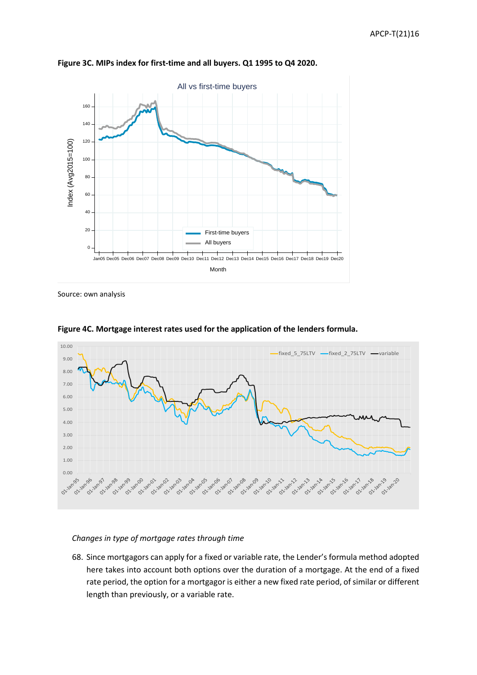

**Figure 3C. MIPs index for first-time and all buyers. Q1 1995 to Q4 2020.**

Source: own analysis



**Figure 4C. Mortgage interest rates used for the application of the lenders formula.**

### *Changes in type of mortgage rates through time*

68. Since mortgagors can apply for a fixed or variable rate, the Lender's formula method adopted here takes into account both options over the duration of a mortgage. At the end of a fixed rate period, the option for a mortgagor is either a new fixed rate period, of similar or different length than previously, or a variable rate.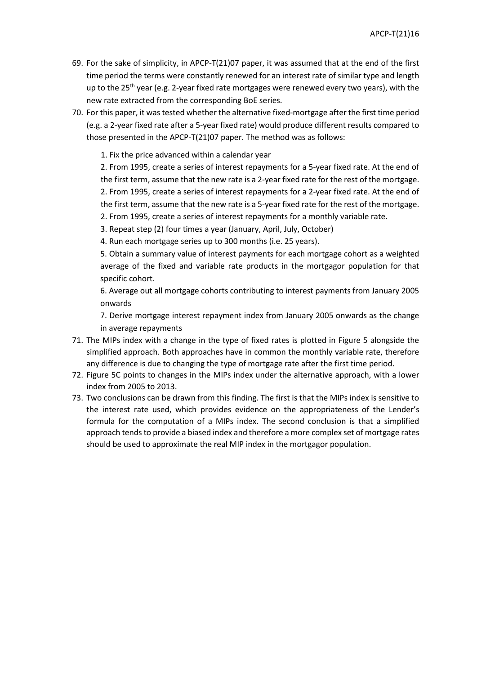- 69. For the sake of simplicity, in APCP-T(21)07 paper, it was assumed that at the end of the first time period the terms were constantly renewed for an interest rate of similar type and length up to the  $25<sup>th</sup>$  year (e.g. 2-year fixed rate mortgages were renewed every two years), with the new rate extracted from the corresponding BoE series.
- 70. For this paper, it was tested whether the alternative fixed-mortgage after the first time period (e.g. a 2-year fixed rate after a 5-year fixed rate) would produce different results compared to those presented in the APCP-T(21)07 paper. The method was as follows:

1. Fix the price advanced within a calendar year

2. From 1995, create a series of interest repayments for a 5-year fixed rate. At the end of the first term, assume that the new rate is a 2-year fixed rate for the rest of the mortgage. 2. From 1995, create a series of interest repayments for a 2-year fixed rate. At the end of the first term, assume that the new rate is a 5-year fixed rate for the rest of the mortgage. 2. From 1995, create a series of interest repayments for a monthly variable rate.

3. Repeat step (2) four times a year (January, April, July, October)

4. Run each mortgage series up to 300 months (i.e. 25 years).

5. Obtain a summary value of interest payments for each mortgage cohort as a weighted average of the fixed and variable rate products in the mortgagor population for that specific cohort.

6. Average out all mortgage cohorts contributing to interest payments from January 2005 onwards

7. Derive mortgage interest repayment index from January 2005 onwards as the change in average repayments

- 71. The MIPs index with a change in the type of fixed rates is plotted in Figure 5 alongside the simplified approach. Both approaches have in common the monthly variable rate, therefore any difference is due to changing the type of mortgage rate after the first time period.
- 72. Figure 5C points to changes in the MIPs index under the alternative approach, with a lower index from 2005 to 2013.
- 73. Two conclusions can be drawn from this finding. The first is that the MIPs index is sensitive to the interest rate used, which provides evidence on the appropriateness of the Lender's formula for the computation of a MIPs index. The second conclusion is that a simplified approach tends to provide a biased index and therefore a more complex set of mortgage rates should be used to approximate the real MIP index in the mortgagor population.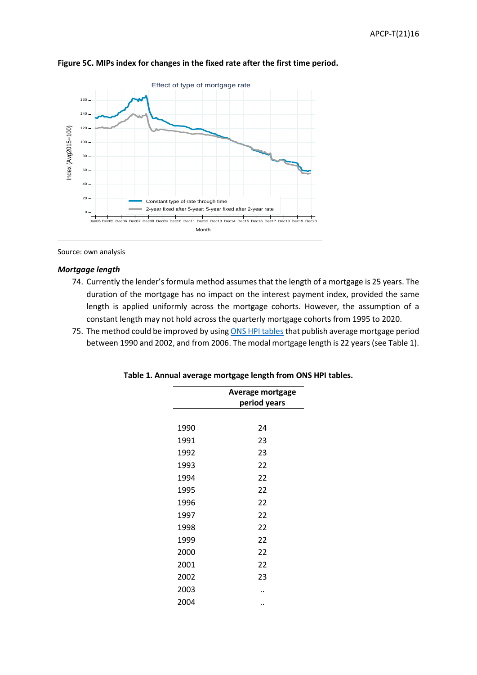

## **Figure 5C. MIPs index for changes in the fixed rate after the first time period.**

Source: own analysis

#### *Mortgage length*

- 74. Currently the lender's formula method assumes that the length of a mortgage is 25 years. The duration of the mortgage has no impact on the interest payment index, provided the same length is applied uniformly across the mortgage cohorts. However, the assumption of a constant length may not hold across the quarterly mortgage cohorts from 1995 to 2020.
- 75. The method could be improved by using [ONS HPI tables](https://www.ons.gov.uk/economy/inflationandpriceindices/datasets/housepriceindexannualtables2039)) that publish average mortgage period between 1990 and 2002, and from 2006. The modal mortgage length is 22 years (see Table 1).

|      | <b>Average mortgage</b><br>period years |
|------|-----------------------------------------|
|      |                                         |
| 1990 | 24                                      |
| 1991 | 23                                      |
| 1992 | 23                                      |
| 1993 | 22                                      |
| 1994 | 22                                      |
| 1995 | 22                                      |
| 1996 | 22                                      |
| 1997 | 22                                      |
| 1998 | 22                                      |
| 1999 | 22                                      |
| 2000 | 22                                      |
| 2001 | 22                                      |
| 2002 | 23                                      |
| 2003 |                                         |
| 2004 |                                         |

| Table 1. Annual average mortgage length from ONS HPI tables. |  |  |  |
|--------------------------------------------------------------|--|--|--|
|--------------------------------------------------------------|--|--|--|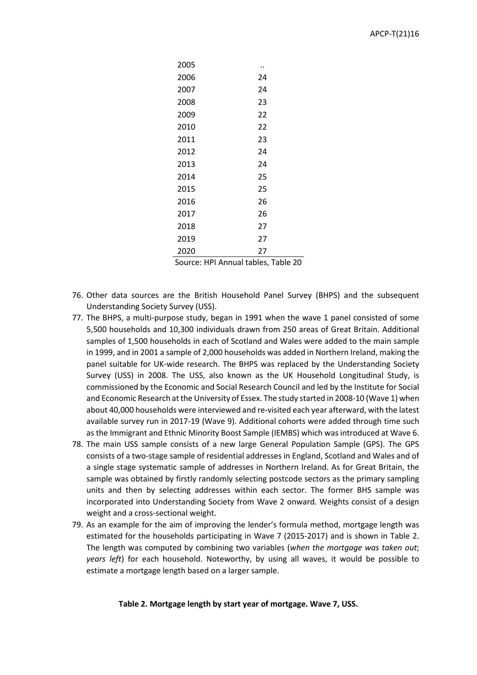| 2005 |    |
|------|----|
| 2006 | 24 |
| 2007 | 24 |
| 2008 | 23 |
| 2009 | 22 |
| 2010 | 22 |
| 2011 | 23 |
| 2012 | 24 |
| 2013 | 24 |
| 2014 | 25 |
| 2015 | 25 |
| 2016 | 26 |
| 2017 | 26 |
| 2018 | 27 |
| 2019 | 27 |
| 2020 | 27 |

Source: HPI Annual tables, Table 20

- 76. Other data sources are the British Household Panel Survey (BHPS) and the subsequent Understanding Society Survey (USS).
- 77. The BHPS, a multi-purpose study, began in 1991 when the wave 1 panel consisted of some 5,500 households and 10,300 individuals drawn from 250 areas of Great Britain. Additional samples of 1,500 households in each of Scotland and Wales were added to the main sample in 1999, and in 2001 a sample of 2,000 households was added in Northern Ireland, making the panel suitable for UK-wide research. The BHPS was replaced by the Understanding Society Survey (USS) in 2008. The USS, also known as the UK Household Longitudinal Study, is commissioned by the Economic and Social Research Council and led by the Institute for Social and Economic Research at the University of Essex. The study started in 2008-10 (Wave 1) when about 40,000 households were interviewed and re-visited each year afterward, with the latest available survey run in 2017-19 (Wave 9). Additional cohorts were added through time such as the Immigrant and Ethnic Minority Boost Sample (IEMBS) which was introduced at Wave 6.
- 78. The main USS sample consists of a new large General Population Sample (GPS). The GPS consists of a two-stage sample of residential addresses in England, Scotland and Wales and of a single stage systematic sample of addresses in Northern Ireland. As for Great Britain, the sample was obtained by firstly randomly selecting postcode sectors as the primary sampling units and then by selecting addresses within each sector. The former BHS sample was incorporated into Understanding Society from Wave 2 onward. Weights consist of a design weight and a cross-sectional weight.
- 79. As an example for the aim of improving the lender's formula method, mortgage length was estimated for the households participating in Wave 7 (2015-2017) and is shown in Table 2. The length was computed by combining two variables (*when the mortgage was taken out*; *years left*) for each household. Noteworthy, by using all waves, it would be possible to estimate a mortgage length based on a larger sample.

#### **Table 2. Mortgage length by start year of mortgage. Wave 7, USS.**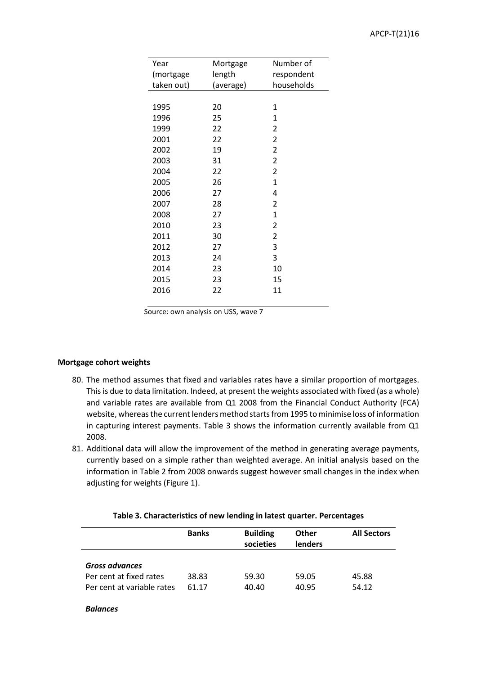| Year       | Mortgage  | Number of      |
|------------|-----------|----------------|
| (mortgage  | length    | respondent     |
| taken out) | (average) | households     |
|            |           |                |
| 1995       | 20        | 1              |
| 1996       | 25        | 1              |
| 1999       | 22        | 2              |
| 2001       | 22        | 2              |
| 2002       | 19        | $\overline{2}$ |
| 2003       | 31        | $\overline{2}$ |
| 2004       | 22        | 2              |
| 2005       | 26        | 1              |
| 2006       | 27        | 4              |
| 2007       | 28        | $\overline{2}$ |
| 2008       | 27        | 1              |
| 2010       | 23        | 2              |
| 2011       | 30        | 2              |
| 2012       | 27        | 3              |
| 2013       | 24        | 3              |
| 2014       | 23        | 10             |
| 2015       | 23        | 15             |
| 2016       | 22        | 11             |
|            |           |                |

Source: own analysis on USS, wave 7

### **Mortgage cohort weights**

- 80. The method assumes that fixed and variables rates have a similar proportion of mortgages. This is due to data limitation. Indeed, at present the weights associated with fixed (as a whole) and variable rates are available from Q1 2008 from the Financial Conduct Authority (FCA) website, whereas the current lenders method starts from 1995 to minimise loss of information in capturing interest payments. Table 3 shows the information currently available from Q1 2008.
- 81. Additional data will allow the improvement of the method in generating average payments, currently based on a simple rather than weighted average. An initial analysis based on the information in Table 2 from 2008 onwards suggest however small changes in the index when adjusting for weights (Figure 1).

|                                                                         | <b>Banks</b>   | <b>Building</b><br>societies | <b>Other</b><br>lenders | <b>All Sectors</b> |
|-------------------------------------------------------------------------|----------------|------------------------------|-------------------------|--------------------|
| Gross advances<br>Per cent at fixed rates<br>Per cent at variable rates | 38.83<br>61.17 | 59.30<br>40.40               | 59.05<br>40.95          | 45.88<br>54.12     |

#### **Table 3. Characteristics of new lending in latest quarter. Percentages**

#### *Balances*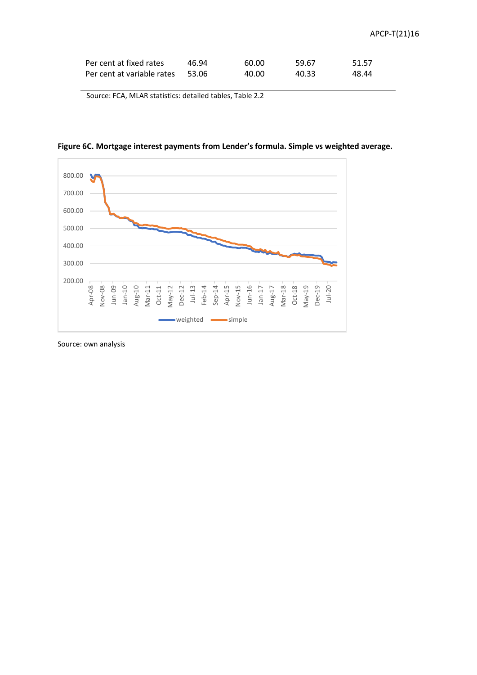| Per cent at fixed rates    | 46.94   | 60.00 | 59.67 | 51.57 |
|----------------------------|---------|-------|-------|-------|
| Per cent at variable rates | - 53.06 | 40.00 | 40.33 | 48.44 |

Source: FCA, MLAR statistics: detailed tables, Table 2.2





Source: own analysis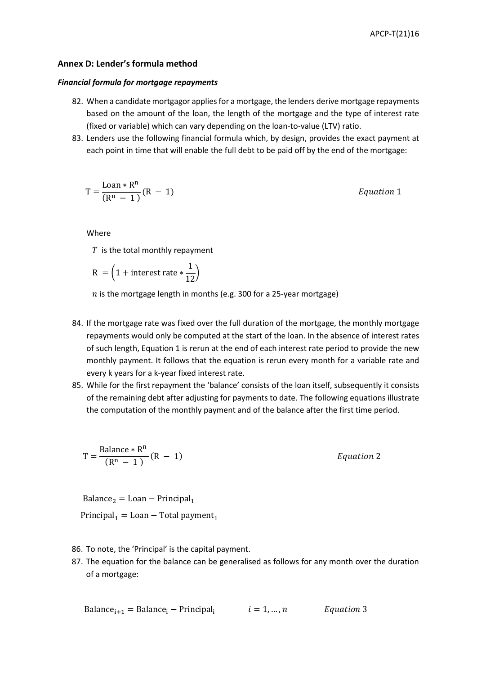### **Annex D: Lender's formula method**

#### *Financial formula for mortgage repayments*

- 82. When a candidate mortgagor applies for a mortgage, the lenders derive mortgage repayments based on the amount of the loan, the length of the mortgage and the type of interest rate (fixed or variable) which can vary depending on the loan-to-value (LTV) ratio.
- 83. Lenders use the following financial formula which, by design, provides the exact payment at each point in time that will enable the full debt to be paid off by the end of the mortgage:

$$
T = \frac{\text{Loan} * R^n}{(R^n - 1)}(R - 1)
$$

 $Equation 1$ 

Where

 $T$  is the total monthly repayment

$$
R = \left(1 + \text{interest rate} * \frac{1}{12}\right)
$$

 $n$  is the mortgage length in months (e.g. 300 for a 25-year mortgage)

- 84. If the mortgage rate was fixed over the full duration of the mortgage, the monthly mortgage repayments would only be computed at the start of the loan. In the absence of interest rates of such length, Equation 1 is rerun at the end of each interest rate period to provide the new monthly payment. It follows that the equation is rerun every month for a variable rate and every k years for a k-year fixed interest rate.
- 85. While for the first repayment the 'balance' consists of the loan itself, subsequently it consists of the remaining debt after adjusting for payments to date. The following equations illustrate the computation of the monthly payment and of the balance after the first time period.

$$
T = \frac{\text{Balance} * R^n}{(R^n - 1)} (R - 1)
$$
 *Equation 2*

 $Balance<sub>2</sub> = Loan - Principal<sub>1</sub>$ 

Principal<sub>1</sub> = Loan – Total payment<sub>1</sub>

- 86. To note, the 'Principal' is the capital payment.
- 87. The equation for the balance can be generalised as follows for any month over the duration of a mortgage:

Balance<sub>i+1</sub> = Balance<sub>i</sub> – Principal<sub>i</sub> 
$$
i = 1,...,n
$$
 *Equation 3*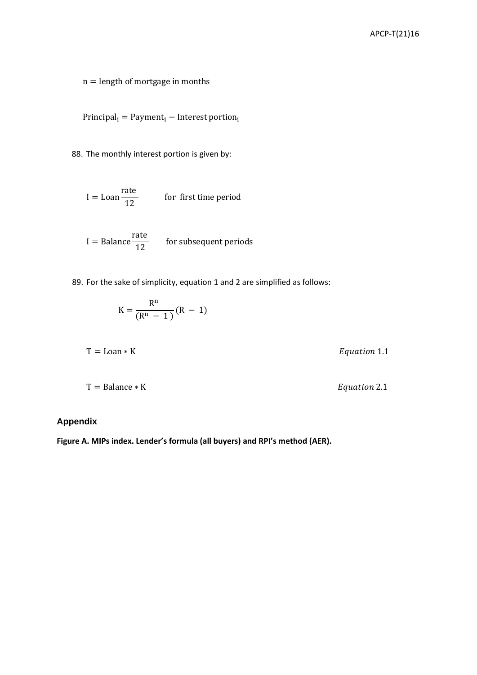$\mathbf{n} =$  length of mortgage in months

 $Principal_i = Payment_i - Interest portion_i$ 

88. The monthly interest portion is given by:

$$
I = \text{Loan} \frac{\text{rate}}{12} \qquad \text{for first time period}
$$

 $I = B$ alance rate  $\overline{12}$  for subsequent periods

89. For the sake of simplicity, equation 1 and 2 are simplified as follows:

$$
K = \frac{R^n}{(R^n - 1)}(R - 1)
$$

 $T =$ Balance  $*$  K  $\qquad \qquad$  Equation 2.1

# **Appendix**

**Figure A. MIPs index. Lender's formula (all buyers) and RPI's method (AER).**